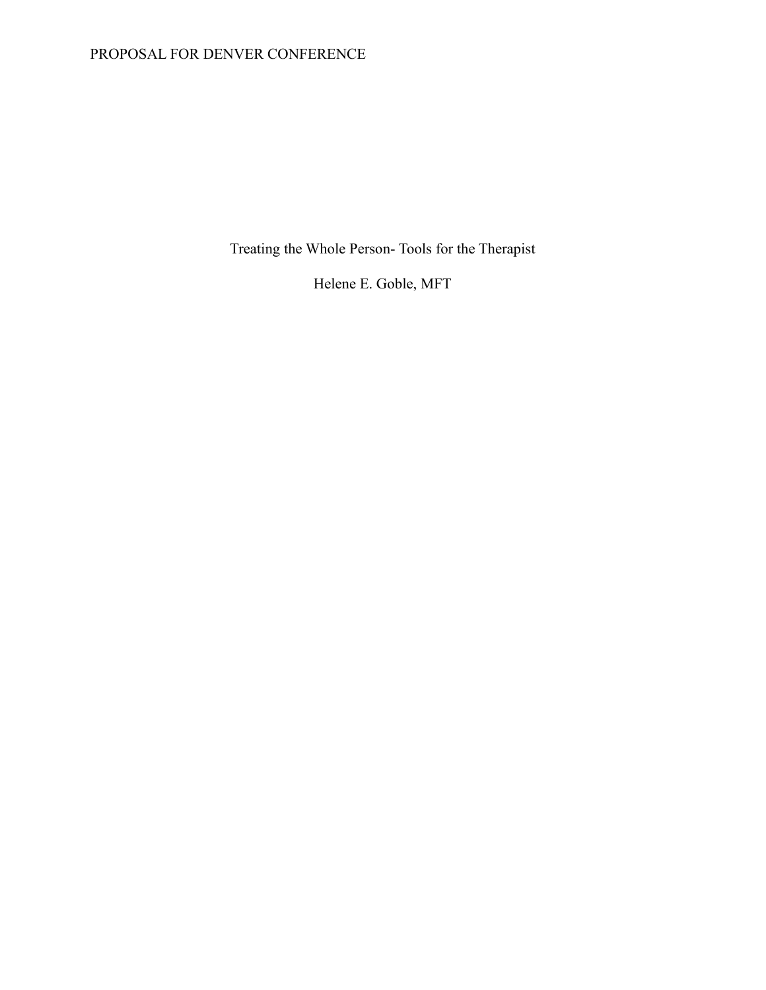# PROPOSAL FOR DENVER CONFERENCE

Treating the Whole Person- Tools for the Therapist

Helene E. Goble, MFT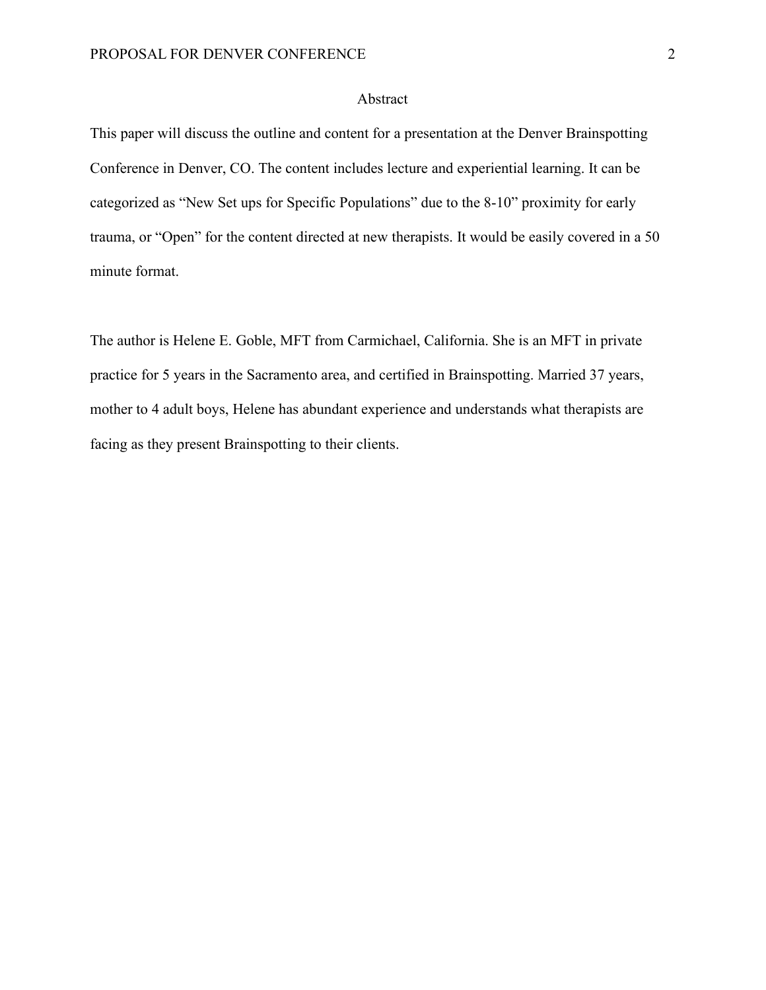## Abstract

This paper will discuss the outline and content for a presentation at the Denver Brainspotting Conference in Denver, CO. The content includes lecture and experiential learning. It can be categorized as "New Set ups for Specific Populations" due to the 8-10" proximity for early trauma, or "Open" for the content directed at new therapists. It would be easily covered in a 50 minute format.

The author is Helene E. Goble, MFT from Carmichael, California. She is an MFT in private practice for 5 years in the Sacramento area, and certified in Brainspotting. Married 37 years, mother to 4 adult boys, Helene has abundant experience and understands what therapists are facing as they present Brainspotting to their clients.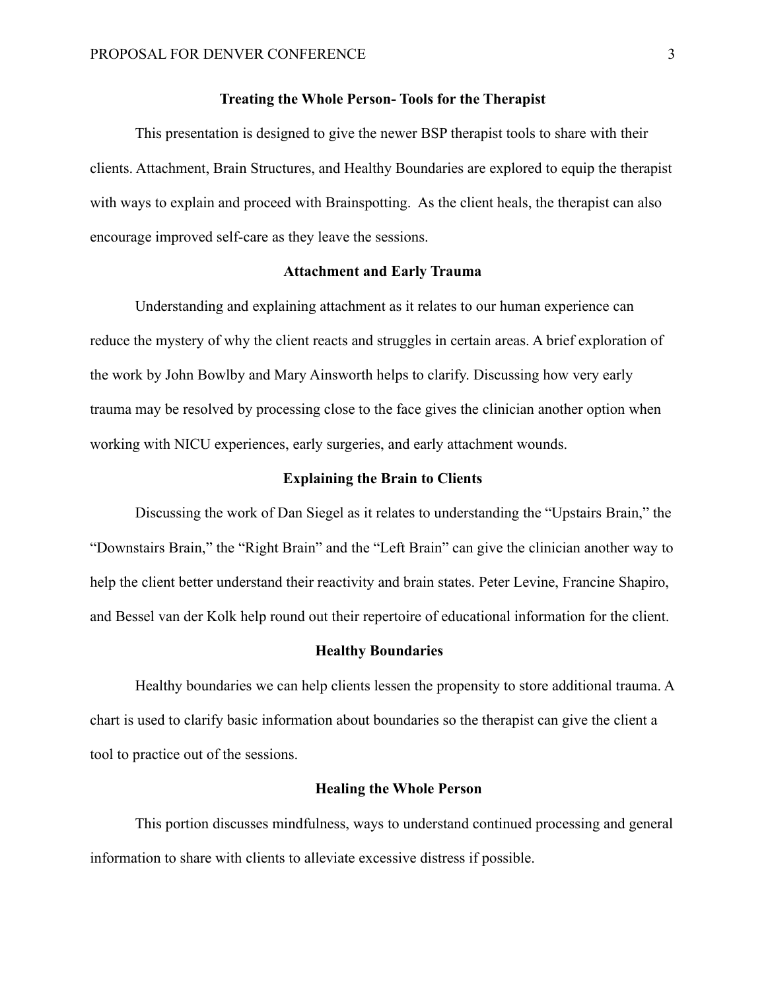### **Treating the Whole Person- Tools for the Therapist**

This presentation is designed to give the newer BSP therapist tools to share with their clients. Attachment, Brain Structures, and Healthy Boundaries are explored to equip the therapist with ways to explain and proceed with Brainspotting. As the client heals, the therapist can also encourage improved self-care as they leave the sessions.

### **Attachment and Early Trauma**

Understanding and explaining attachment as it relates to our human experience can reduce the mystery of why the client reacts and struggles in certain areas. A brief exploration of the work by John Bowlby and Mary Ainsworth helps to clarify. Discussing how very early trauma may be resolved by processing close to the face gives the clinician another option when working with NICU experiences, early surgeries, and early attachment wounds.

### **Explaining the Brain to Clients**

Discussing the work of Dan Siegel as it relates to understanding the "Upstairs Brain," the "Downstairs Brain," the "Right Brain" and the "Left Brain" can give the clinician another way to help the client better understand their reactivity and brain states. Peter Levine, Francine Shapiro, and Bessel van der Kolk help round out their repertoire of educational information for the client.

#### **Healthy Boundaries**

Healthy boundaries we can help clients lessen the propensity to store additional trauma. A chart is used to clarify basic information about boundaries so the therapist can give the client a tool to practice out of the sessions.

#### **Healing the Whole Person**

This portion discusses mindfulness, ways to understand continued processing and general information to share with clients to alleviate excessive distress if possible.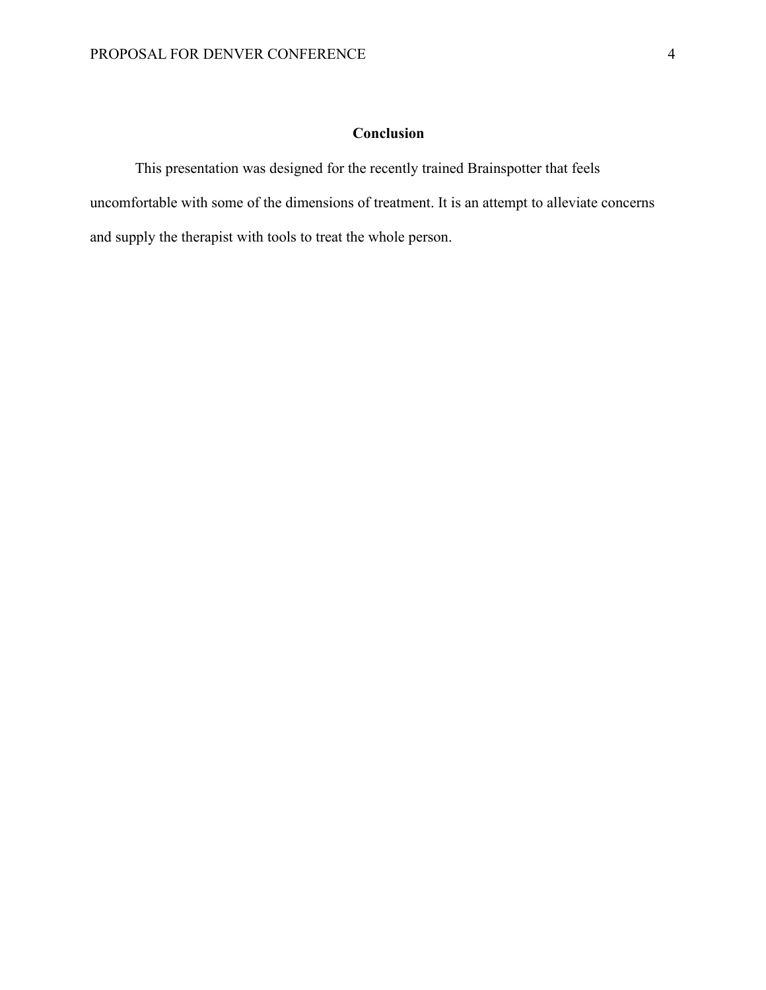# **Conclusion**

This presentation was designed for the recently trained Brainspotter that feels uncomfortable with some of the dimensions of treatment. It is an attempt to alleviate concerns and supply the therapist with tools to treat the whole person.